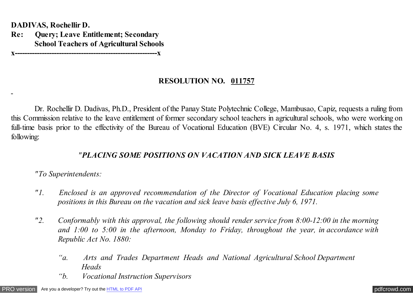**DADIVAS, Rochellir D.**

**Re: Query; Leave Entitlement; Secondary School Teachers of Agricultural Schools**

**x----------------------------------------------------------x**

## **RESOLUTION NO. 011757**

Dr. Rochellir D. Dadivas, Ph.D., President of the Panay State Polytechnic College, Mambusao, Capiz, requests a ruling from this Commission relative to the leave entitlement of former secondary school teachers in agricultural schools, who were working on full-time basis prior to the effectivity of the Bureau of Vocational Education (BVE) Circular No. 4, s. 1971, which states the following:

## *"PLACING SOME POSITIONS ON VACATION AND SICK LEAVE BASIS*

## *"To Superintendents:*

- *"1. Enclosed is an approved recommendation of the Director of Vocational Education placing some positions in this Bureau on the vacation and sick leave basis effective July 6, 1971.*
- *"2. Conformably with this approval, the following should render service from 8:00-12:00 in the morning and 1:00 to 5:00 in the afternoon, Monday to Friday, throughout the year, in accordance with Republic Act No. 1880:*
	- *"a. Arts and Trades Department Heads and National Agricultural School Department Heads*
	- *"b. Vocational Instruction Supervisors*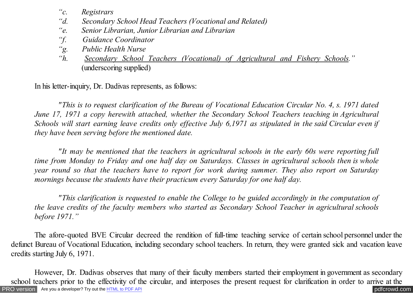- *"c. Registrars*
- *"d. Secondary School Head Teachers (Vocational and Related)*
- *"e. Senior Librarian, Junior Librarian and Librarian*
- *"f. Guidance Coordinator*
- *"g. Public Health Nurse*
- *Secondary School Teachers (Vocational) of Agricultural and Fishery Schools."* (underscoring supplied)

In his letter-inquiry, Dr. Dadivas represents, as follows:

*"This is to request clarification of the Bureau of Vocational Education Circular No. 4, s. 1971 dated June 17, 1971 a copy herewith attached, whether the Secondary School Teachers teaching in Agricultural Schools will start earning leave credits only effective July 6,1971 as stipulated in the said Circular even if they have been serving before the mentioned date.*

*"It may be mentioned that the teachers in agricultural schools in the early 60s were reporting full time from Monday to Friday and one half day on Saturdays. Classes in agricultural schools then is whole year round so that the teachers have to report for work during summer. They also report on Saturday mornings because the students have their practicum every Saturday for one half day.*

*"This clarification is requested to enable the College to be guided accordingly in the computation of the leave credits of the faculty members who started as Secondary School Teacher in agricultural schools before 1971."*

The afore-quoted BVE Circular decreed the rendition of full-time teaching service of certain school personnel under the defunct Bureau of Vocational Education, including secondary school teachers. In return, they were granted sick and vacation leave credits starting July 6, 1971.

[PRO version](http://pdfcrowd.com/customize/) Are you a developer? Try out th[e HTML to PDF API](http://pdfcrowd.com/html-to-pdf-api/?ref=pdf) contract the community of the HTML to PDF API [pdfcrowd.com](http://pdfcrowd.com) However, Dr. Dadivas observes that many of their faculty members started their employment in government as secondary school teachers prior to the effectivity of the circular, and interposes the present request for clarification in order to arrive at the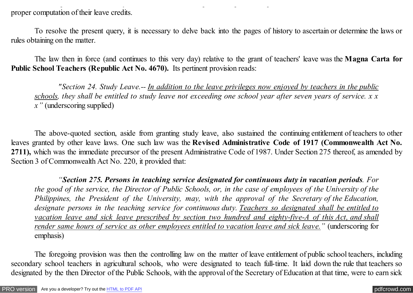proper computation of their leave credits.

To resolve the present query, it is necessary to delve back into the pages of history to ascertain or determine the laws or rules obtaining on the matter.

school teachers prior to the effectivity of the circular, and interposes the present request for clarification in order to arrive at the

The law then in force (and continues to this very day) relative to the grant of teachers' leave was the **Magna Carta for Public School Teachers (Republic Act No. 4670).** Its pertinent provision reads:

*"Section 24. Study Leave.-- In addition to the leave privileges now enjoyed by teachers in the public schools, they shall be entitled to study leave not exceeding one school year after seven years of service. x x x"* (underscoring supplied)

The above-quoted section, aside from granting study leave, also sustained the continuing entitlement of teachers to other leaves granted by other leave laws. One such law was the **Revised Administrative Code of 1917 (Commonwealth Act No. 2711),** which was the immediate precursor of the present Administrative Code of 1987. Under Section 275 thereof, as amended by Section 3 of Commonwealth Act No. 220, it provided that:

*"Section 275. Persons in teaching service designated for continuous duty in vacation periods. For the good of the service, the Director of Public Schools, or, in the case of employees of the University of the Philippines, the President of the University, may, with the approval of the Secretary of the Education, designate persons in the teaching service for continuous duty. Teachers so designated shall be entitled to vacation leave and sick leave prescribed by section two hundred and eighty-five-A of this Act, and shall render same hours of service as other employees entitled to vacation leave and sick leave."* (underscoring for emphasis)

The foregoing provision was then the controlling law on the matter of leave entitlement of public school teachers, including secondary school teachers in agricultural schools, who were designated to teach full-time. It laid down the rule that teachers so designated by the then Director of the Public Schools, with the approval of the Secretary of Education at that time, were to earn sick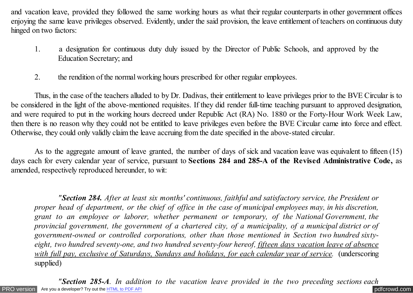and vacation leave, provided they followed the same working hours as what their regular counterparts in other government offices enjoying the same leave privileges observed. Evidently, under the said provision, the leave entitlement of teachers on continuous duty hinged on two factors:

- 1. a designation for continuous duty duly issued by the Director of Public Schools, and approved by the Education Secretary; and
- 2. the rendition of the normal working hours prescribed for other regular employees.

Thus, in the case of the teachers alluded to by Dr. Dadivas, their entitlement to leave privileges prior to the BVE Circular is to be considered in the light of the above-mentioned requisites. If they did render full-time teaching pursuant to approved designation, and were required to put in the working hours decreed under Republic Act (RA) No. 1880 or the Forty-Hour Work Week Law, then there is no reason why they could not be entitled to leave privileges even before the BVE Circular came into force and effect. Otherwise, they could only validly claim the leave accruing from the date specified in the above-stated circular.

As to the aggregate amount of leave granted, the number of days of sick and vacation leave was equivalent to fifteen (15) days each for every calendar year of service, pursuant to **Sections 284 and 285-A of the Revised Administrative Code,** as amended, respectively reproduced hereunder, to wit:

*"Section 284. After at least six months' continuous, faithful and satisfactory service, the President or proper head of department, or the chief of office in the case of municipal employees may, in his discretion, grant to an employee or laborer, whether permanent or temporary, of the National Government, the provincial government, the government of a chartered city, of a municipality, of a municipal district or of government-owned or controlled corporations, other than those mentioned in Section two hundred sixtyeight, two hundred seventy-one, and two hundred seventy-four hereof, fifteen days vacation leave of absence with full pay, exclusive of Saturdays, Sundays and holidays, for each calendar year of service.* (underscoring supplied)

[PRO version](http://pdfcrowd.com/customize/) Are you a developer? Try out th[e HTML to PDF API](http://pdfcrowd.com/html-to-pdf-api/?ref=pdf) [pdfcrowd.com](http://pdfcrowd.com) *"Section 285-A. In addition to the vacation leave provided in the two preceding sections each*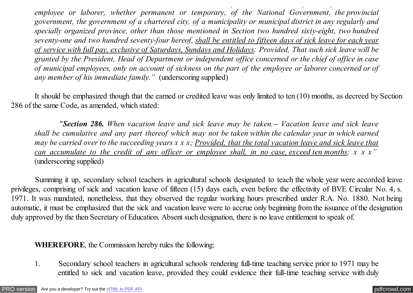*employee or laborer, whether permanent or temporary, of the National Government, the provincial government, the government of a chartered city, of a municipality or municipal district in any regularly and specially organized province, other than those mentioned in Section two hundred sixty-eight, two hundred seventy-one and two hundred seventy-four hereof, shall be entitled to fifteen days of sick leave for each year of service with full pay, exclusive of Saturdays, Sundays and Holidays: Provided, That such sick leave will be granted by the President, Head of Department or independent office concerned or the chief of office in case of municipal employees, only on account of sickness on the part of the employee or laborer concerned or of any member of his immediate family."* (underscoring supplied)

*"Section 285-A. In addition to the vacation leave provided in the two preceding sections each*

It should be emphasized though that the earned or credited leave was only limited to ten (10) months, as decreed by Section 286 of the same Code, as amended, which stated:

 *"Section 286. When vacation leave and sick leave may be taken.-- Vacation leave and sick leave shall be cumulative and any part thereof which may not be taken within the calendar year in which earned may be carried over to the succeeding years x x x; Provided, that the total vacation leave and sick leave that can accumulate to the credit of any officer or employee shall, in no case, exceed ten months; x x x"* (underscoring supplied)

 Summing it up, secondary school teachers in agricultural schools designated to teach the whole year were accorded leave privileges, comprising of sick and vacation leave of fifteen (15) days each, even before the effectivity of BVE Circular No. 4, s. 1971. It was mandated, nonetheless, that they observed the regular working hours prescribed under R.A. No. 1880. Not being automatic, it must be emphasized that the sick and vacation leave were to accrue only beginning from the issuance of the designation duly approved by the then Secretary of Education. Absent such designation, there is no leave entitlement to speak of.

**WHEREFORE**, the Commission hereby rules the following:

1. Secondary school teachers in agricultural schools rendering full-time teaching service prior to 1971 may be entitled to sick and vacation leave, provided they could evidence their full-time teaching service with duly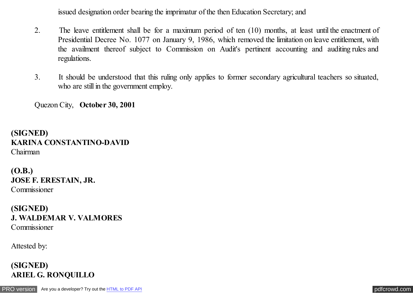issued designation order bearing the imprimatur of the then Education Secretary; and

- 2. The leave entitlement shall be for a maximum period of ten (10) months, at least until the enactment of Presidential Decree No. 1077 on January 9, 1986, which removed the limitation on leave entitlement, with the availment thereof subject to Commission on Audit's pertinent accounting and auditing rules and regulations.
- 3. It should be understood that this ruling only applies to former secondary agricultural teachers so situated, who are still in the government employ.

Quezon City, **October 30, 2001**

**(SIGNED) KARINA CONSTANTINO-DAVID** Chairman

**(O.B.) JOSE F. ERESTAIN, JR.** Commissioner

**(SIGNED) J. WALDEMAR V. VALMORES** Commissioner

Attested by:

**(SIGNED) ARIEL G. RONQUILLO**

[PRO version](http://pdfcrowd.com/customize/) Are you a developer? Try out th[e HTML to PDF API](http://pdfcrowd.com/html-to-pdf-api/?ref=pdf) [pdfcrowd.com](http://pdfcrowd.com)